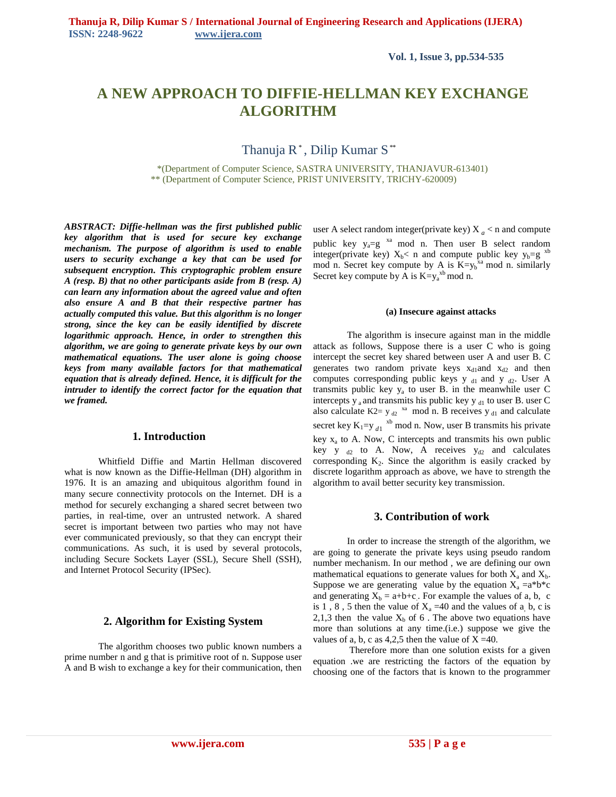**Vol. 1, Issue 3, pp.534-535** 

# **A NEW APPROACH TO DIFFIE-HELLMAN KEY EXCHANGE ALGORITHM**

Thanuja R\* , Dilip Kumar S \*\*

 \*(Department of Computer Science, SASTRA UNIVERSITY, THANJAVUR-613401) \*\* (Department of Computer Science, PRIST UNIVERSITY, TRICHY-620009)

*ABSTRACT: Diffie-hellman was the first published public key algorithm that is used for secure key exchange mechanism. The purpose of algorithm is used to enable users to security exchange a key that can be used for subsequent encryption. This cryptographic problem ensure A (resp. B) that no other participants aside from B (resp. A) can learn any information about the agreed value and often also ensure A and B that their respective partner has actually computed this value. But this algorithm is no longer strong, since the key can be easily identified by discrete logarithmic approach. Hence, in order to strengthen this algorithm, we are going to generate private keys by our own mathematical equations. The user alone is going choose keys from many available factors for that mathematical equation that is already defined. Hence, it is difficult for the intruder to identify the correct factor for the equation that we framed.*

# **1. Introduction**

Whitfield Diffie and Martin Hellman discovered what is now known as the Diffie-Hellman (DH) algorithm in 1976. It is an amazing and ubiquitous algorithm found in many secure connectivity protocols on the Internet. DH is a method for securely exchanging a shared secret between two parties, in real-time, over an untrusted network. A shared secret is important between two parties who may not have ever communicated previously, so that they can encrypt their communications. As such, it is used by several protocols, including Secure Sockets Layer (SSL), Secure Shell (SSH), and Internet Protocol Security (IPSec).

#### **2. Algorithm for Existing System**

The algorithm chooses two public known numbers a prime number n and g that is primitive root of n. Suppose user A and B wish to exchange a key for their communication, then user A select random integer(private key)  $X_a < n$  and compute public key  $y_a=g^{xa} \mod n$ . Then user B select random integer(private key)  $X_b < n$  and compute public key  $y_b = g$ <sup>3</sup> mod n. Secret key compute by A is  $K=y_b^{x_a}$  mod n. similarly Secret key compute by A is  $K=y_a^{x_b}$  mod n.

#### **(a) Insecure against attacks**

The algorithm is insecure against man in the middle attack as follows, Suppose there is a user C who is going intercept the secret key shared between user A and user B. C generates two random private keys  $x_{d1}$ and  $x_{d2}$  and then computes corresponding public keys  $y_{d1}$  and  $y_{d2}$ . User A transmits public key  $y_a$  to user B. in the meanwhile user C intercepts  $y_a$  and transmits his public key  $y_d$ <sub>1</sub> to user B. user C also calculate K2=  $y_{d2}$ <sup>xa</sup> mod n. B receives  $y_{d1}$  and calculate secret key  $K_1 = y_{d1}$ <sup>xb</sup> mod n. Now, user B transmits his private key  $x_a$  to A. Now, C intercepts and transmits his own public key y  $_{d2}$  to A. Now, A receives  $y_{d2}$  and calculates corresponding  $K_2$ . Since the algorithm is easily cracked by discrete logarithm approach as above, we have to strength the algorithm to avail better security key transmission.

## **3. Contribution of work**

In order to increase the strength of the algorithm, we are going to generate the private keys using pseudo random number mechanism. In our method , we are defining our own mathematical equations to generate values for both  $X_a$  and  $X_b$ . Suppose we are generating value by the equation  $X_a = a^*b^*c$ and generating  $X_b = a+b+c$ . For example the values of a, b, c is 1, 8, 5 then the value of  $X_a = 40$  and the values of a, b, c is 2,1,3 then the value  $X_b$  of 6. The above two equations have more than solutions at any time.(i.e.) suppose we give the values of a, b, c as  $4,2,5$  then the value of  $X = 40$ .

Therefore more than one solution exists for a given equation .we are restricting the factors of the equation by choosing one of the factors that is known to the programmer